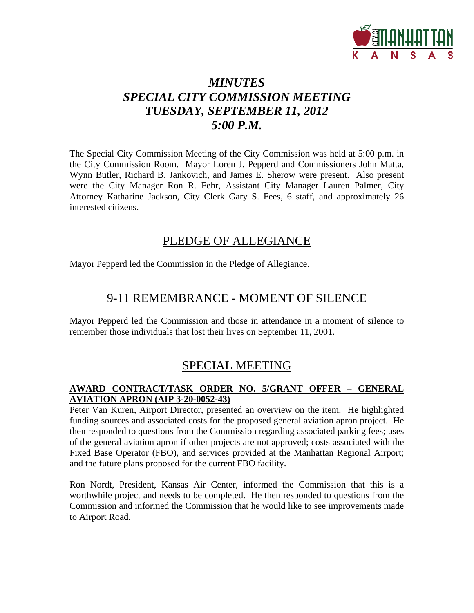

# *MINUTES SPECIAL CITY COMMISSION MEETING TUESDAY, SEPTEMBER 11, 2012 5:00 P.M.*

The Special City Commission Meeting of the City Commission was held at 5:00 p.m. in the City Commission Room. Mayor Loren J. Pepperd and Commissioners John Matta, Wynn Butler, Richard B. Jankovich, and James E. Sherow were present. Also present were the City Manager Ron R. Fehr, Assistant City Manager Lauren Palmer, City Attorney Katharine Jackson, City Clerk Gary S. Fees, 6 staff, and approximately 26 interested citizens.

## PLEDGE OF ALLEGIANCE

Mayor Pepperd led the Commission in the Pledge of Allegiance.

## 9-11 REMEMBRANCE - MOMENT OF SILENCE

Mayor Pepperd led the Commission and those in attendance in a moment of silence to remember those individuals that lost their lives on September 11, 2001.

# SPECIAL MEETING

## **AWARD CONTRACT/TASK ORDER NO. 5/GRANT OFFER – GENERAL AVIATION APRON (AIP 3-20-0052-43)**

Peter Van Kuren, Airport Director, presented an overview on the item. He highlighted funding sources and associated costs for the proposed general aviation apron project. He then responded to questions from the Commission regarding associated parking fees; uses of the general aviation apron if other projects are not approved; costs associated with the Fixed Base Operator (FBO), and services provided at the Manhattan Regional Airport; and the future plans proposed for the current FBO facility.

Ron Nordt, President, Kansas Air Center, informed the Commission that this is a worthwhile project and needs to be completed. He then responded to questions from the Commission and informed the Commission that he would like to see improvements made to Airport Road.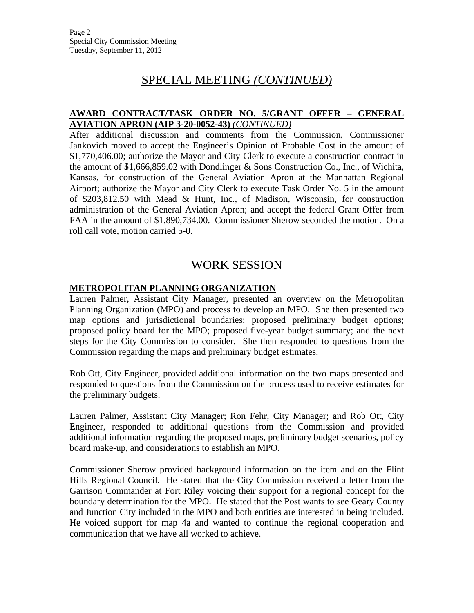# SPECIAL MEETING *(CONTINUED)*

### **AWARD CONTRACT/TASK ORDER NO. 5/GRANT OFFER – GENERAL AVIATION APRON (AIP 3-20-0052-43)** *(CONTINUED)*

After additional discussion and comments from the Commission, Commissioner Jankovich moved to accept the Engineer's Opinion of Probable Cost in the amount of \$1,770,406.00; authorize the Mayor and City Clerk to execute a construction contract in the amount of \$1,666,859.02 with Dondlinger & Sons Construction Co., Inc., of Wichita, Kansas, for construction of the General Aviation Apron at the Manhattan Regional Airport; authorize the Mayor and City Clerk to execute Task Order No. 5 in the amount of \$203,812.50 with Mead & Hunt, Inc., of Madison, Wisconsin, for construction administration of the General Aviation Apron; and accept the federal Grant Offer from FAA in the amount of \$1,890,734.00. Commissioner Sherow seconded the motion. On a roll call vote, motion carried 5-0.

## WORK SESSION

### **METROPOLITAN PLANNING ORGANIZATION**

Lauren Palmer, Assistant City Manager, presented an overview on the Metropolitan Planning Organization (MPO) and process to develop an MPO. She then presented two map options and jurisdictional boundaries; proposed preliminary budget options; proposed policy board for the MPO; proposed five-year budget summary; and the next steps for the City Commission to consider. She then responded to questions from the Commission regarding the maps and preliminary budget estimates.

Rob Ott, City Engineer, provided additional information on the two maps presented and responded to questions from the Commission on the process used to receive estimates for the preliminary budgets.

Lauren Palmer, Assistant City Manager; Ron Fehr, City Manager; and Rob Ott, City Engineer, responded to additional questions from the Commission and provided additional information regarding the proposed maps, preliminary budget scenarios, policy board make-up, and considerations to establish an MPO.

Commissioner Sherow provided background information on the item and on the Flint Hills Regional Council. He stated that the City Commission received a letter from the Garrison Commander at Fort Riley voicing their support for a regional concept for the boundary determination for the MPO. He stated that the Post wants to see Geary County and Junction City included in the MPO and both entities are interested in being included. He voiced support for map 4a and wanted to continue the regional cooperation and communication that we have all worked to achieve.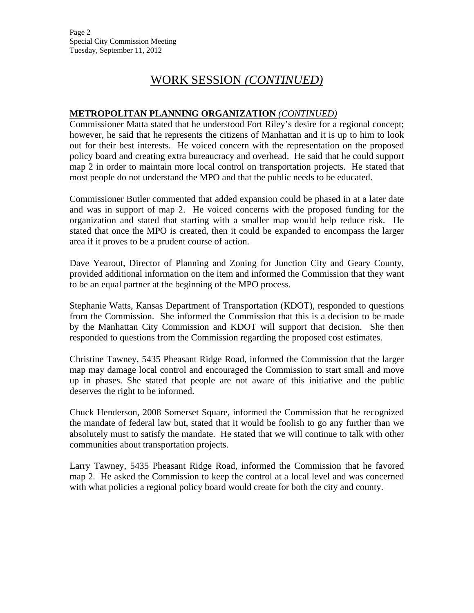# WORK SESSION *(CONTINUED)*

### **METROPOLITAN PLANNING ORGANIZATION** *(CONTINUED)*

Commissioner Matta stated that he understood Fort Riley's desire for a regional concept; however, he said that he represents the citizens of Manhattan and it is up to him to look out for their best interests. He voiced concern with the representation on the proposed policy board and creating extra bureaucracy and overhead. He said that he could support map 2 in order to maintain more local control on transportation projects. He stated that most people do not understand the MPO and that the public needs to be educated.

Commissioner Butler commented that added expansion could be phased in at a later date and was in support of map 2. He voiced concerns with the proposed funding for the organization and stated that starting with a smaller map would help reduce risk. He stated that once the MPO is created, then it could be expanded to encompass the larger area if it proves to be a prudent course of action.

Dave Yearout, Director of Planning and Zoning for Junction City and Geary County, provided additional information on the item and informed the Commission that they want to be an equal partner at the beginning of the MPO process.

Stephanie Watts, Kansas Department of Transportation (KDOT), responded to questions from the Commission. She informed the Commission that this is a decision to be made by the Manhattan City Commission and KDOT will support that decision. She then responded to questions from the Commission regarding the proposed cost estimates.

Christine Tawney, 5435 Pheasant Ridge Road, informed the Commission that the larger map may damage local control and encouraged the Commission to start small and move up in phases. She stated that people are not aware of this initiative and the public deserves the right to be informed.

Chuck Henderson, 2008 Somerset Square, informed the Commission that he recognized the mandate of federal law but, stated that it would be foolish to go any further than we absolutely must to satisfy the mandate. He stated that we will continue to talk with other communities about transportation projects.

Larry Tawney, 5435 Pheasant Ridge Road, informed the Commission that he favored map 2. He asked the Commission to keep the control at a local level and was concerned with what policies a regional policy board would create for both the city and county.